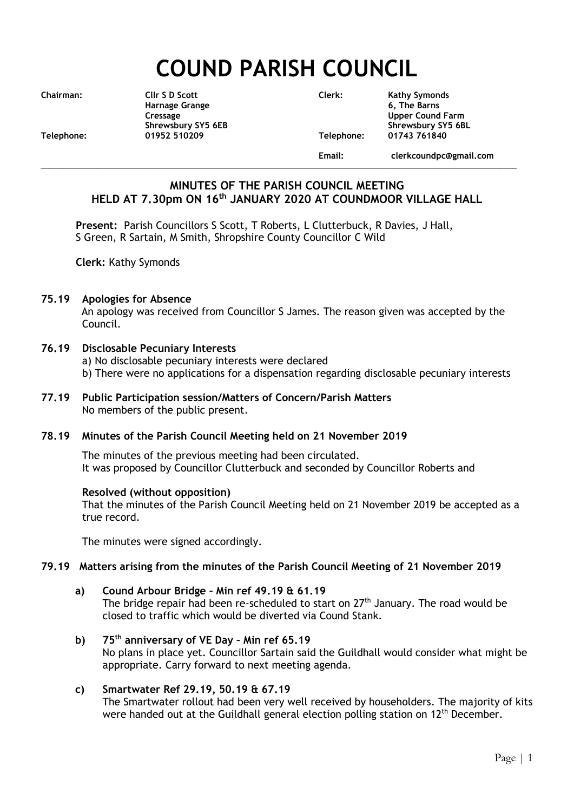# **COUND PARISH COUNCIL**

|  | Chairman: |  |
|--|-----------|--|

**Harnage Grange 6, The Barns Telephone: 01952 510209 Telephone: 01743 761840**

**Chairman: Cllr S D Scott Clerk: Kathy Symonds Cressage Upper Cound Farm** Shrewsbury SY5 6EB<br>1952 510209 Telephone: 01743 761840

**Email: clerkcoundpc@gmail.com**

# **MINUTES OF THE PARISH COUNCIL MEETING HELD AT 7.30pm ON 16th JANUARY 2020 AT COUNDMOOR VILLAGE HALL**

**\_\_\_\_\_\_\_\_\_\_\_\_\_\_\_\_\_\_\_\_\_\_\_\_\_\_\_\_\_\_\_\_\_\_\_\_\_\_\_\_\_\_\_\_\_\_\_\_\_\_\_\_\_\_\_\_\_\_\_\_\_\_\_\_\_\_\_\_\_\_\_\_\_\_\_\_\_\_\_\_\_\_\_\_\_\_\_\_\_\_\_\_\_\_\_\_\_\_\_\_\_\_\_\_\_\_\_\_\_\_\_**

**Present:** Parish Councillors S Scott, T Roberts, L Clutterbuck, R Davies, J Hall, S Green, R Sartain, M Smith, Shropshire County Councillor C Wild

**Clerk:** Kathy Symonds

#### **75.19 Apologies for Absence**

An apology was received from Councillor S James. The reason given was accepted by the Council.

#### **76.19 Disclosable Pecuniary Interests**

- a) No disclosable pecuniary interests were declared
- b) There were no applications for a dispensation regarding disclosable pecuniary interests
- **77.19 Public Participation session/Matters of Concern/Parish Matters** No members of the public present.

#### **78.19 Minutes of the Parish Council Meeting held on 21 November 2019**

The minutes of the previous meeting had been circulated. It was proposed by Councillor Clutterbuck and seconded by Councillor Roberts and

#### **Resolved (without opposition)**

That the minutes of the Parish Council Meeting held on 21 November 2019 be accepted as a true record.

The minutes were signed accordingly.

#### **79.19 Matters arising from the minutes of the Parish Council Meeting of 21 November 2019**

- **a) Cound Arbour Bridge – Min ref 49.19 & 61.19** The bridge repair had been re-scheduled to start on  $27<sup>th</sup>$  January. The road would be closed to traffic which would be diverted via Cound Stank.
- **b) 75th anniversary of VE Day – Min ref 65.19** No plans in place yet. Councillor Sartain said the Guildhall would consider what might be appropriate. Carry forward to next meeting agenda.

#### **c) Smartwater Ref 29.19, 50.19 & 67.19** The Smartwater rollout had been very well received by householders. The majority of kits were handed out at the Guildhall general election polling station on  $12<sup>th</sup>$  December.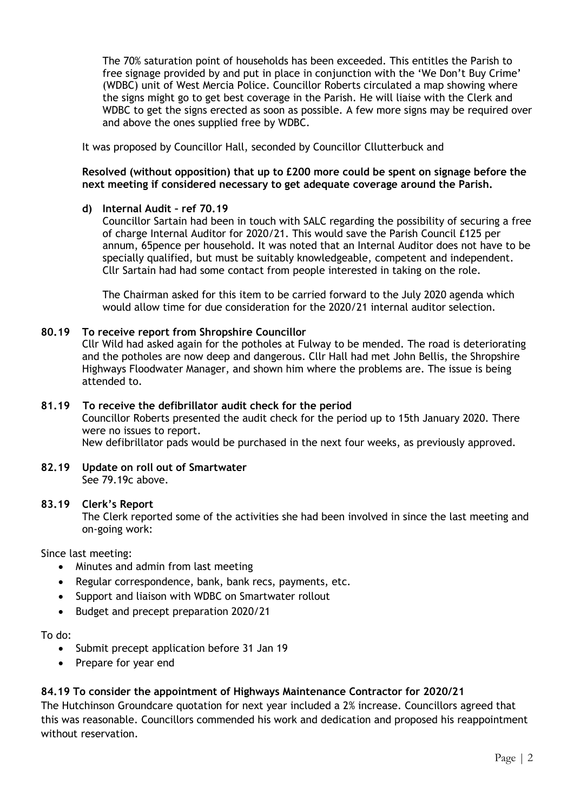The 70% saturation point of households has been exceeded. This entitles the Parish to free signage provided by and put in place in conjunction with the 'We Don't Buy Crime' (WDBC) unit of West Mercia Police. Councillor Roberts circulated a map showing where the signs might go to get best coverage in the Parish. He will liaise with the Clerk and WDBC to get the signs erected as soon as possible. A few more signs may be required over and above the ones supplied free by WDBC.

It was proposed by Councillor Hall, seconded by Councillor Cllutterbuck and

#### **Resolved (without opposition) that up to £200 more could be spent on signage before the next meeting if considered necessary to get adequate coverage around the Parish.**

### **d) Internal Audit – ref 70.19**

Councillor Sartain had been in touch with SALC regarding the possibility of securing a free of charge Internal Auditor for 2020/21. This would save the Parish Council £125 per annum, 65pence per household. It was noted that an Internal Auditor does not have to be specially qualified, but must be suitably knowledgeable, competent and independent. Cllr Sartain had had some contact from people interested in taking on the role.

The Chairman asked for this item to be carried forward to the July 2020 agenda which would allow time for due consideration for the 2020/21 internal auditor selection.

### **80.19 To receive report from Shropshire Councillor**

Cllr Wild had asked again for the potholes at Fulway to be mended. The road is deteriorating and the potholes are now deep and dangerous. Cllr Hall had met John Bellis, the Shropshire Highways Floodwater Manager, and shown him where the problems are. The issue is being attended to.

#### **81.19 To receive the defibrillator audit check for the period**

Councillor Roberts presented the audit check for the period up to 15th January 2020. There were no issues to report.

New defibrillator pads would be purchased in the next four weeks, as previously approved.

#### **82.19 Update on roll out of Smartwater** See 79.19c above.

#### **83.19 Clerk's Report**

The Clerk reported some of the activities she had been involved in since the last meeting and on-going work:

Since last meeting:

- Minutes and admin from last meeting
- Regular correspondence, bank, bank recs, payments, etc.
- Support and liaison with WDBC on Smartwater rollout
- Budget and precept preparation 2020/21

To do:

- Submit precept application before 31 Jan 19
- Prepare for year end

# **84.19 To consider the appointment of Highways Maintenance Contractor for 2020/21**

The Hutchinson Groundcare quotation for next year included a 2% increase. Councillors agreed that this was reasonable. Councillors commended his work and dedication and proposed his reappointment without reservation.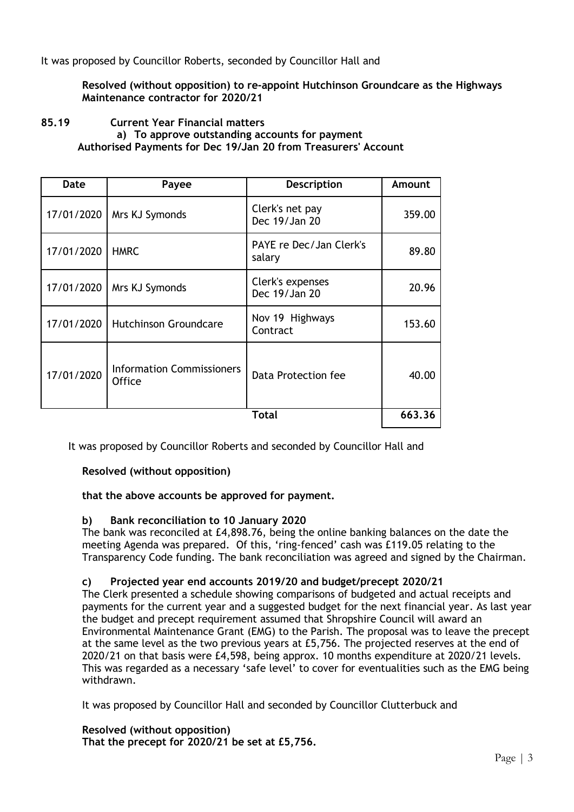It was proposed by Councillor Roberts, seconded by Councillor Hall and

**Resolved (without opposition) to re-appoint Hutchinson Groundcare as the Highways Maintenance contractor for 2020/21**

#### **85.19 Current Year Financial matters a) To approve outstanding accounts for payment Authorised Payments for Dec 19/Jan 20 from Treasurers' Account**

| Date       | Payee                                             | <b>Description</b>                | Amount |
|------------|---------------------------------------------------|-----------------------------------|--------|
| 17/01/2020 | Mrs KJ Symonds                                    | Clerk's net pay<br>Dec 19/Jan 20  | 359.00 |
| 17/01/2020 | <b>HMRC</b>                                       | PAYE re Dec/Jan Clerk's<br>salary | 89.80  |
| 17/01/2020 | Mrs KJ Symonds                                    | Clerk's expenses<br>Dec 19/Jan 20 | 20.96  |
| 17/01/2020 | <b>Hutchinson Groundcare</b>                      | Nov 19 Highways<br>Contract       | 153.60 |
| 17/01/2020 | <b>Information Commissioners</b><br><b>Office</b> | Data Protection fee               | 40.00  |
| Total      |                                                   |                                   | 663.36 |

It was proposed by Councillor Roberts and seconded by Councillor Hall and

**Resolved (without opposition)**

#### **that the above accounts be approved for payment.**

#### **b) Bank reconciliation to 10 January 2020**

The bank was reconciled at £4,898.76, being the online banking balances on the date the meeting Agenda was prepared. Of this, 'ring-fenced' cash was £119.05 relating to the Transparency Code funding. The bank reconciliation was agreed and signed by the Chairman.

#### **c) Projected year end accounts 2019/20 and budget/precept 2020/21**

The Clerk presented a schedule showing comparisons of budgeted and actual receipts and payments for the current year and a suggested budget for the next financial year. As last year the budget and precept requirement assumed that Shropshire Council will award an Environmental Maintenance Grant (EMG) to the Parish. The proposal was to leave the precept at the same level as the two previous years at £5,756. The projected reserves at the end of 2020/21 on that basis were £4,598, being approx. 10 months expenditure at 2020/21 levels. This was regarded as a necessary 'safe level' to cover for eventualities such as the EMG being withdrawn.

It was proposed by Councillor Hall and seconded by Councillor Clutterbuck and

**Resolved (without opposition) That the precept for 2020/21 be set at £5,756.**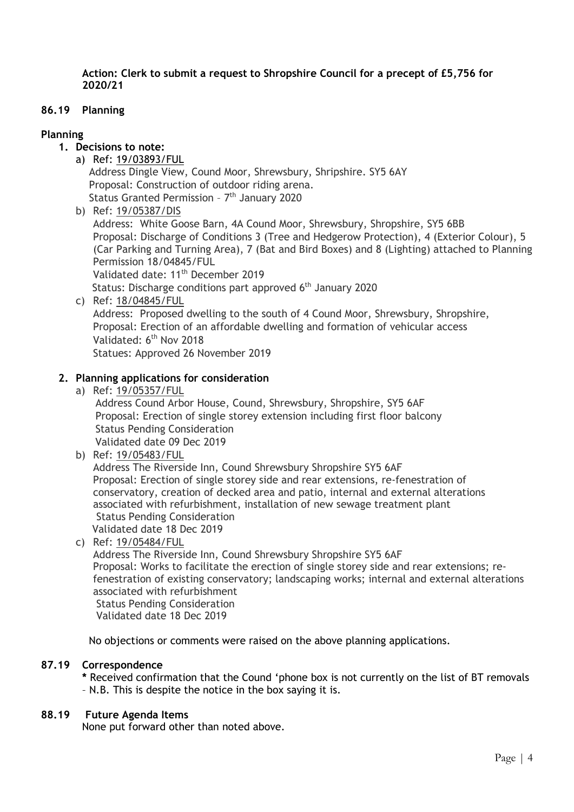**Action: Clerk to submit a request to Shropshire Council for a precept of £5,756 for 2020/21**

#### **86.19 Planning**

## **Planning**

- **1. Decisions to note:**
- a) Ref: 19/03893/FUL Address Dingle View, Cound Moor, Shrewsbury, Shripshire. SY5 6AY Proposal: Construction of outdoor riding arena. Status Granted Permission - 7<sup>th</sup> January 2020
	- b) Ref: 19/05387/DIS

Address: White Goose Barn, 4A Cound Moor, Shrewsbury, Shropshire, SY5 6BB Proposal: Discharge of Conditions 3 (Tree and Hedgerow Protection), 4 (Exterior Colour), 5 (Car Parking and Turning Area), 7 (Bat and Bird Boxes) and 8 (Lighting) attached to Planning Permission 18/04845/FUL

Validated date: 11<sup>th</sup> December 2019

- Status: Discharge conditions part approved 6<sup>th</sup> January 2020
- c) Ref: 18/04845/FUL Address: Proposed dwelling to the south of 4 Cound Moor, Shrewsbury, Shropshire, Proposal: Erection of an affordable dwelling and formation of vehicular access Validated: 6<sup>th</sup> Nov 2018

Statues: Approved 26 November 2019

### **2. Planning applications for consideration**

a) Ref: 19/05357/FUL

 Address Cound Arbor House, Cound, Shrewsbury, Shropshire, SY5 6AF Proposal: Erection of single storey extension including first floor balcony Status Pending Consideration Validated date 09 Dec 2019

b) Ref: 19/05483/FUL

Address The Riverside Inn, Cound Shrewsbury Shropshire SY5 6AF Proposal: Erection of single storey side and rear extensions, re-fenestration of conservatory, creation of decked area and patio, internal and external alterations associated with refurbishment, installation of new sewage treatment plant Status Pending Consideration Validated date 18 Dec 2019

c) Ref: 19/05484/FUL

Address The Riverside Inn, Cound Shrewsbury Shropshire SY5 6AF Proposal: Works to facilitate the erection of single storey side and rear extensions; refenestration of existing conservatory; landscaping works; internal and external alterations associated with refurbishment Status Pending Consideration Validated date 18 Dec 2019

No objections or comments were raised on the above planning applications.

#### **87.19 Correspondence**

**\*** Received confirmation that the Cound 'phone box is not currently on the list of BT removals – N.B. This is despite the notice in the box saying it is.

#### **88.19 Future Agenda Items**

None put forward other than noted above.